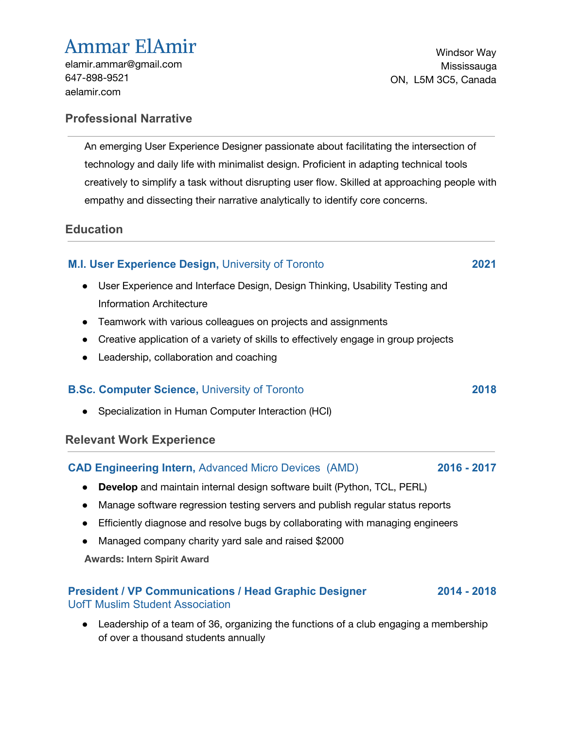# Ammar ElAmir

[elamir.ammar@gmail.com](mailto:elamir.ammar@gmail.com) 647-898-9521 aelamir.com

Windsor Way Mississauga ON, L5M 3C5, Canada

### **Professional Narrative**

An emerging User Experience Designer passionate about facilitating the intersection of technology and daily life with minimalist design. Proficient in adapting technical tools creatively to simplify a task without disrupting user flow. Skilled at approaching people with empathy and dissecting their narrative analytically to identify core concerns.

### **Education**

## **M.I. User Experience Design,** University of Toronto **2021**

- User Experience and Interface Design, Design Thinking, Usability Testing and Information Architecture
- Teamwork with various colleagues on projects and assignments
- Creative application of a variety of skills to effectively engage in group projects
- Leadership, collaboration and coaching

### **B.Sc. Computer Science,** University of Toronto **2018**

● Specialization in Human Computer Interaction (HCI)

### **Relevant Work Experience**

### **CAD Engineering Intern,** Advanced Micro Devices (AMD) **2016 - 2017**

- **Develop** and maintain internal design software built (Python, TCL, PERL)
- Manage software regression testing servers and publish regular status reports
- Efficiently diagnose and resolve bugs by collaborating with managing engineers
- Managed company charity yard sale and raised \$2000

**Awards: Intern Spirit Award**

### **President / VP Communications / Head Graphic Designer** UofT Muslim Student Association **2014 - 2018**

• Leadership of a team of 36, organizing the functions of a club engaging a membership of over a thousand students annually